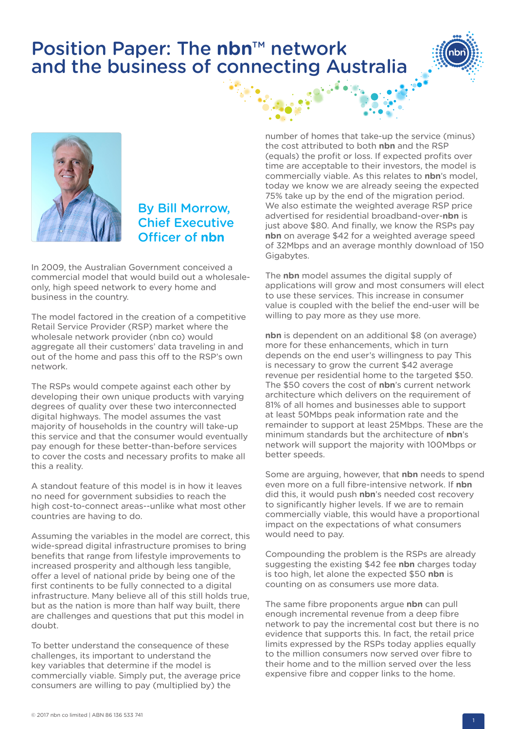## Position Paper: The **nbn**™ network and the business of connecting Australia





## By Bill Morrow, Chief Executive Officer of **nbn**

In 2009, the Australian Government conceived a commercial model that would build out a wholesaleonly, high speed network to every home and business in the country.

The model factored in the creation of a competitive Retail Service Provider (RSP) market where the wholesale network provider (nbn co) would aggregate all their customers' data traveling in and out of the home and pass this off to the RSP's own network.

The RSPs would compete against each other by developing their own unique products with varying degrees of quality over these two interconnected digital highways. The model assumes the vast majority of households in the country will take-up this service and that the consumer would eventually pay enough for these better-than-before services to cover the costs and necessary profits to make all this a reality.

A standout feature of this model is in how it leaves no need for government subsidies to reach the high cost-to-connect areas--unlike what most other countries are having to do.

Assuming the variables in the model are correct, this wide-spread digital infrastructure promises to bring benefits that range from lifestyle improvements to increased prosperity and although less tangible, offer a level of national pride by being one of the first continents to be fully connected to a digital infrastructure. Many believe all of this still holds true, but as the nation is more than half way built, there are challenges and questions that put this model in doubt.

To better understand the consequence of these challenges, its important to understand the key variables that determine if the model is commercially viable. Simply put, the average price consumers are willing to pay (multiplied by) the

number of homes that take-up the service (minus) the cost attributed to both **nbn** and the RSP (equals) the profit or loss. If expected profits over time are acceptable to their investors, the model is commercially viable. As this relates to **nbn**'s model, today we know we are already seeing the expected 75% take up by the end of the migration period. We also estimate the weighted average RSP price advertised for residential broadband-over-**nbn** is just above \$80. And finally, we know the RSPs pay **nbn** on average \$42 for a weighted average speed of 32Mbps and an average monthly download of 150 Gigabytes.

The **nbn** model assumes the digital supply of applications will grow and most consumers will elect to use these services. This increase in consumer value is coupled with the belief the end-user will be willing to pay more as they use more.

**nbn** is dependent on an additional \$8 (on average) more for these enhancements, which in turn depends on the end user's willingness to pay This is necessary to grow the current \$42 average revenue per residential home to the targeted \$50. The \$50 covers the cost of **nbn**'s current network architecture which delivers on the requirement of 81% of all homes and businesses able to support at least 50Mbps peak information rate and the remainder to support at least 25Mbps. These are the minimum standards but the architecture of **nbn**'s network will support the majority with 100Mbps or better speeds.

Some are arguing, however, that **nbn** needs to spend even more on a full fibre-intensive network. If **nbn** did this, it would push **nbn**'s needed cost recovery to significantly higher levels. If we are to remain commercially viable, this would have a proportional impact on the expectations of what consumers would need to pay.

Compounding the problem is the RSPs are already suggesting the existing \$42 fee **nbn** charges today is too high, let alone the expected \$50 **nbn** is counting on as consumers use more data.

The same fibre proponents argue **nbn** can pull enough incremental revenue from a deep fibre network to pay the incremental cost but there is no evidence that supports this. In fact, the retail price limits expressed by the RSPs today applies equally to the million consumers now served over fibre to their home and to the million served over the less expensive fibre and copper links to the home.